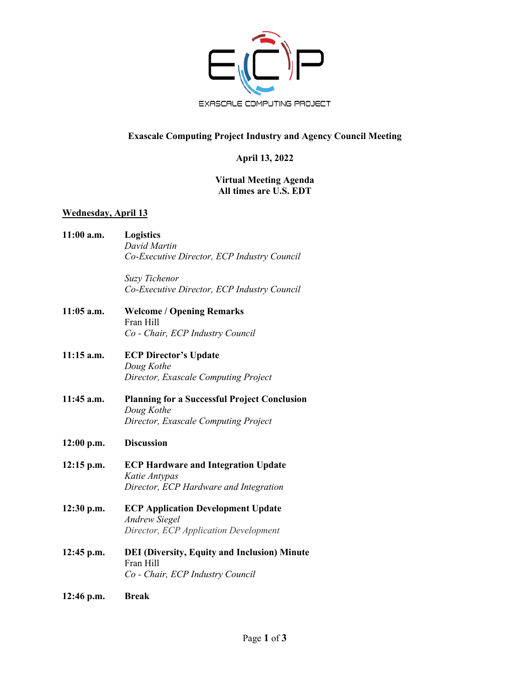

# **Exascale Computing Project Industry and Agency Council Meeting**

## **April 13, 2022**

### **Virtual Meeting Agenda All times are U.S. EDT**

### **Wednesday, April 13**

**11:00 a.m. Logistics** *David Martin Co-Executive Director, ECP Industry Council*

> *Suzy Tichenor Co-Executive Director, ECP Industry Council*

- **11:05 a.m. Welcome / Opening Remarks** Fran Hill *Co - Chair, ECP Industry Council*
- **11:15 a.m. ECP Director's Update** *Doug Kothe Director, Exascale Computing Project*
- **11:45 a.m. Planning for a Successful Project Conclusion** *Doug Kothe Director, Exascale Computing Project*

#### **12:00 p.m. Discussion**

- **12:15 p.m. ECP Hardware and Integration Update** *Katie Antypas Director, ECP Hardware and Integration*
- **12:30 p.m. ECP Application Development Update** *Andrew Siegel Director, ECP Application Development*
- **12:45 p.m. DEI (Diversity, Equity and Inclusion) Minute**  Fran Hill *Co - Chair, ECP Industry Council*
- **12:46 p.m. Break**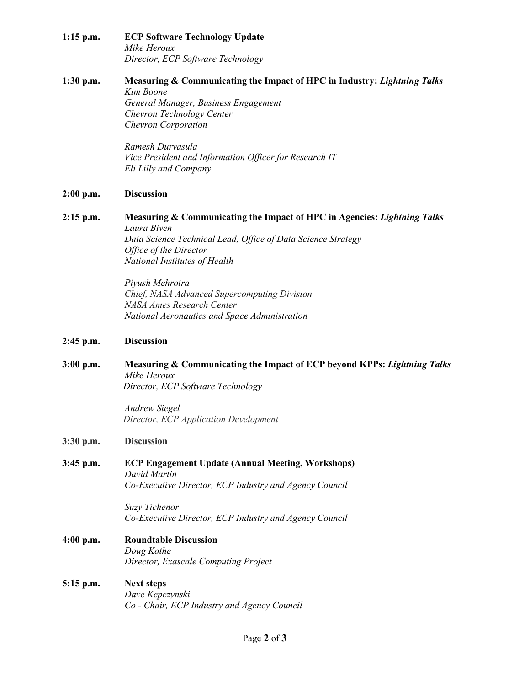**1:15 p.m. ECP Software Technology Update** *Mike Heroux Director, ECP Software Technology* 

#### **1:30 p.m. Measuring & Communicating the Impact of HPC in Industry:** *Lightning Talks Kim Boone General Manager, Business Engagement*

*Chevron Technology Center Chevron Corporation*

*Ramesh Durvasula Vice President and Information Officer for Research IT Eli Lilly and Company*

## **2:00 p.m. Discussion**

**2:15 p.m. Measuring & Communicating the Impact of HPC in Agencies:** *Lightning Talks Laura Biven Data Science Technical Lead, Office of Data Science Strategy Office of the Director National Institutes of Health* 

> *Piyush Mehrotra Chief, NASA Advanced Supercomputing Division NASA Ames Research Center National Aeronautics and Space Administration*

## **2:45 p.m. Discussion**

**3:00 p.m. Measuring & Communicating the Impact of ECP beyond KPPs:** *Lightning Talks Mike Heroux Director, ECP Software Technology* 

> *Andrew Siegel Director, ECP Application Development*

### **3:30 p.m. Discussion**

**3:45 p.m. ECP Engagement Update (Annual Meeting, Workshops)** *David Martin Co-Executive Director, ECP Industry and Agency Council*

> *Suzy Tichenor Co-Executive Director, ECP Industry and Agency Council*

- **4:00 p.m. Roundtable Discussion** *Doug Kothe Director, Exascale Computing Project*
- **5:15 p.m. Next steps** *Dave Kepczynski Co - Chair, ECP Industry and Agency Council*